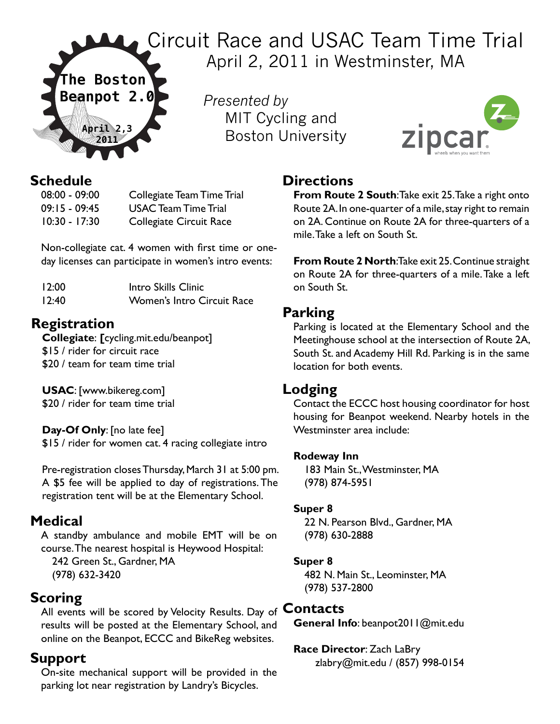

Circuit Race and USAC Team Time Trial April 2, 2011 in Westminster, MA

> *Presented by* MIT Cycling and Boston University



# **Schedule**<br>08:00 - 09:00

Collegiate Team Time Trial 09:15 - 09:45 USAC Team Time Trial 10:30 - 17:30 Collegiate Circuit Race

Non-collegiate cat. 4 women with first time or oneday licenses can participate in women's intro events:

| 12:00 | Intro Skills Clinic        |
|-------|----------------------------|
| 12:40 | Women's Intro Circuit Race |

### **Registration**

**Collegiate**: **[**cycling.mit.edu/beanpot] \$15 / rider for circuit race \$20 / team for team time trial

**USAC**: [www.bikereg.com] \$20 / rider for team time trial

#### **Day-Of Only**: [no late fee]

\$15 / rider for women cat. 4 racing collegiate intro

Pre-registration closes Thursday, March 31 at 5:00 pm. A \$5 fee will be applied to day of registrations. The registration tent will be at the Elementary School.

#### **Medical**

A standby ambulance and mobile EMT will be on course. The nearest hospital is Heywood Hospital:

242 Green St., Gardner, MA (978) 632-3420

#### **Scoring**

All events will be scored by Velocity Results. Day of **Contacts** results will be posted at the Elementary School, and online on the Beanpot, ECCC and BikeReg websites.

#### **Support**

On-site mechanical support will be provided in the parking lot near registration by Landry's Bicycles.

#### **Directions**

**From Route 2 South**: Take exit 25. Take a right onto Route 2A. In one-quarter of a mile, stay right to remain on 2A. Continue on Route 2A for three-quarters of a mile. Take a left on South St.

**From Route 2 North: Take exit 25. Continue straight** on Route 2A for three-quarters of a mile. Take a left on South St.

#### **Parking**

Parking is located at the Elementary School and the Meetinghouse school at the intersection of Route 2A, South St. and Academy Hill Rd. Parking is in the same location for both events.

#### **Lodging**

Contact the ECCC host housing coordinator for host housing for Beanpot weekend. Nearby hotels in the Westminster area include:

#### **Rodeway Inn**

183 Main St., Westminster, MA (978) 874-5951

#### **Super 8**

22 N. Pearson Blvd., Gardner, MA (978) 630-2888

#### **Super 8**

482 N. Main St., Leominster, MA (978) 537-2800

**General Info**: beanpot2011@mit.edu

#### **Race Director**: Zach LaBry

zlabry@mit.edu / (857) 998-0154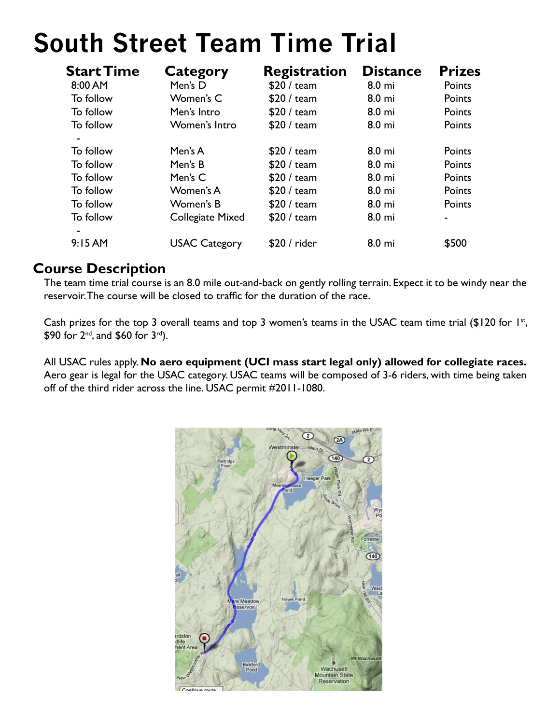# **South Street Team Time Trial**

| <b>Start Time</b> | Category                | <b>Registration</b> | <b>Distance</b> | <b>Prizes</b> |
|-------------------|-------------------------|---------------------|-----------------|---------------|
| 8:00 AM           | Men's D                 | \$20 / team         | 8.0 mi          | Points        |
| To follow         | Women's C               | \$20 / team         | 8.0 mi          | Points        |
| To follow         | Men's Intro             | \$20 / team         | 8.0 mi          | Points        |
| To follow         | Women's Intro           | \$20 / team         | 8.0 mi          | Points        |
|                   |                         |                     |                 |               |
| To follow         | Men's A                 | \$20 / team         | 8.0 mi          | Points        |
| To follow         | Men's B                 | \$20 / team         | 8.0 mi          | Points        |
| To follow         | Men's C                 | \$20 / team         | 8.0 mi          | Points        |
| To follow         | Women's A               | \$20 / team         | 8.0 mi          | Points        |
| To follow         | Women's B               | \$20 / team         | 8.0 mi          | Points        |
| To follow         | <b>Collegiate Mixed</b> | \$20 / team         | 8.0 mi          | ۰             |
|                   |                         |                     |                 |               |
| 9:15AM            | <b>USAC Category</b>    | \$20 / rider        | 8.0 mi          | \$500         |

#### **Course Description**

The team time trial course is an 8.0 mile out-and-back on gently rolling terrain. Expect it to be windy near the reservoir. The course will be closed to traffic for the duration of the race.

Cash prizes for the top 3 overall teams and top 3 women's teams in the USAC team time trial (\$120 for 1st, \$90 for 2nd, and \$60 for 3rd).

All USAC rules apply. **No aero equipment (UCI mass start legal only) allowed for collegiate races.** Aero gear is legal for the USAC category. USAC teams will be composed of 3-6 riders, with time being taken off of the third rider across the line. USAC permit #2011-1080.

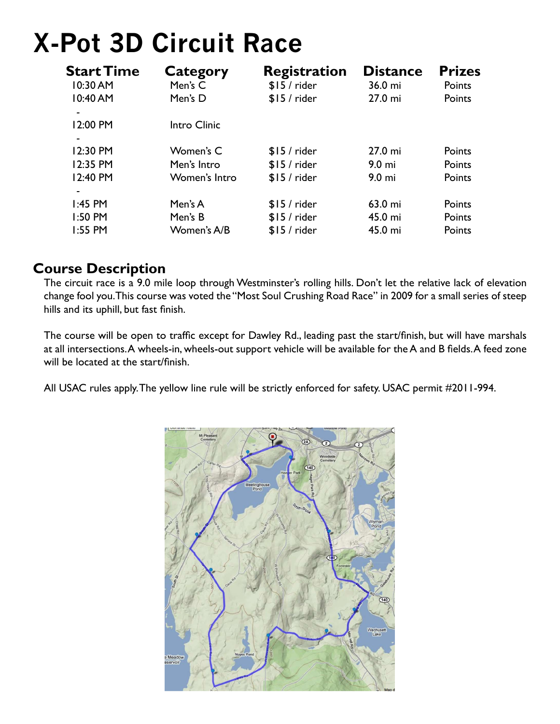# **X-Pot 3D Circuit Race**

| <b>Start Time</b>        | <b>Category</b> | <b>Registration</b> | <b>Distance</b>   | <b>Prizes</b> |
|--------------------------|-----------------|---------------------|-------------------|---------------|
| 10:30 AM                 | Men's C         | $$15/$ rider        | 36.0 mi           | Points        |
| 10:40 AM                 | Men's D         | $$15/$ rider        | 27.0 mi           | Points        |
| 12:00 PM                 | Intro Clinic    |                     |                   |               |
|                          |                 |                     |                   |               |
| 12:30 PM                 | Women's C       | $$15/$ rider        | 27.0 mi           | Points        |
| 12:35 PM                 | Men's Intro     | $$15/$ rider        | 9.0 <sub>mi</sub> | Points        |
| 12:40 PM                 | Women's Intro   | $$15/$ rider        | $9.0 \text{ mi}$  | Points        |
| $\overline{\phantom{a}}$ |                 |                     |                   |               |
| $1:45$ PM                | Men's A         | $$15/$ rider        | 63.0 mi           | Points        |
| 1:50 PM                  | Men's B         | $$15/$ rider        | 45.0 mi           | Points        |
| 1:55 PM                  | Women's A/B     | $$15/$ rider        | 45.0 mi           | Points        |

#### **Course Description**

The circuit race is a 9.0 mile loop through Westminster's rolling hills. Don't let the relative lack of elevation change fool you. This course was voted the "Most Soul Crushing Road Race" in 2009 for a small series of steep hills and its uphill, but fast finish.

The course will be open to traffic except for Dawley Rd., leading past the start/finish, but will have marshals at all intersections. A wheels-in, wheels-out support vehicle will be available for the A and B fields. A feed zone will be located at the start/finish.

All USAC rules apply. The yellow line rule will be strictly enforced for safety. USAC permit #2011-994.

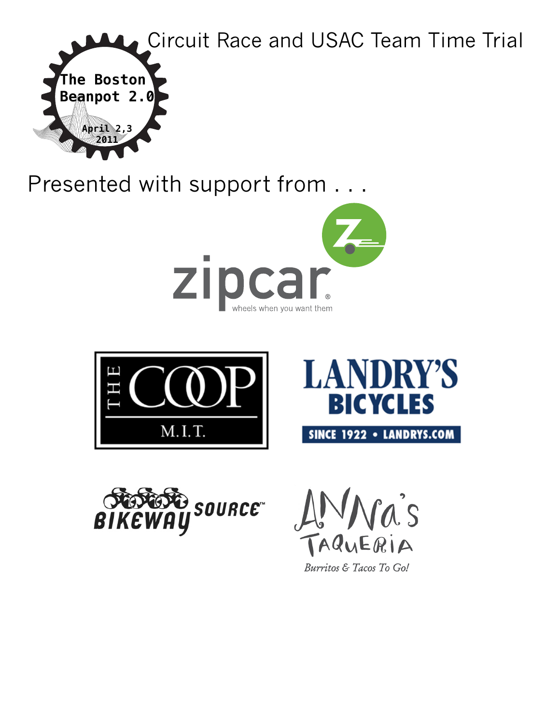

Presented with support from . . .











Burritos & Tacos To Go!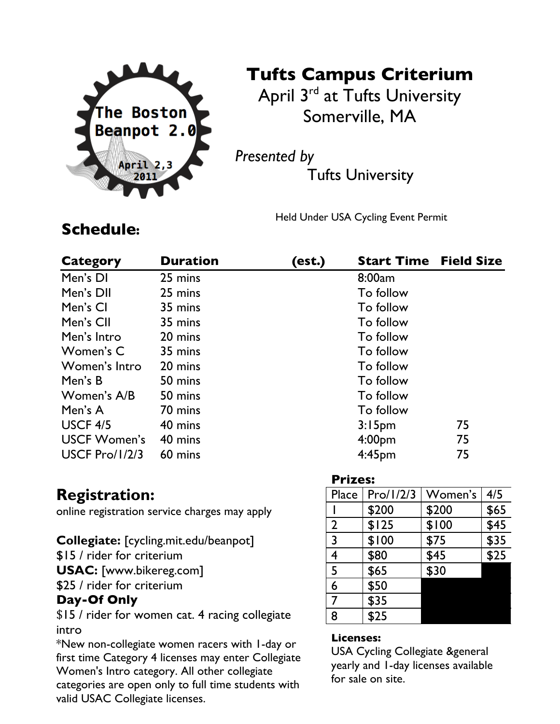

# **Tufts Campus Criterium**

April 3<sup>rd</sup> at Tufts University Somerville, MA

*Presented by*

Tufts University

Held Under USA Cycling Event Permit

# **Schedule:**

| <b>Category</b>       | <b>Duration</b> | (est.) | <b>Start Time</b>  | <b>Field Size</b> |
|-----------------------|-----------------|--------|--------------------|-------------------|
| Men's DI              | 25 mins         |        | 8:00am             |                   |
| Men's DII             | 25 mins         |        | To follow          |                   |
| Men's CI              | 35 mins         |        | To follow          |                   |
| Men's CII             | 35 mins         |        | To follow          |                   |
| Men's Intro           | 20 mins         |        | To follow          |                   |
| Women's C             | 35 mins         |        | To follow          |                   |
| Women's Intro         | 20 mins         |        | To follow          |                   |
| Men's B               | 50 mins         |        | To follow          |                   |
| Women's A/B           | 50 mins         |        | To follow          |                   |
| Men's A               | 70 mins         |        | To follow          |                   |
| USCF 4/5              | 40 mins         |        | 3:15 <sub>pm</sub> | 75                |
| <b>USCF Women's</b>   | 40 mins         |        | 4:00 <sub>pm</sub> | 75                |
| <b>USCF Pro/1/2/3</b> | 60 mins         |        | 4:45pm             | 75                |

### **Registration:**

online registration service charges may apply

#### **Collegiate:** [cycling.mit.edu/beanpot]

\$15 / rider for criterium

**USAC:** [www.bikereg.com]

\$25 / rider for criterium

#### **Day-Of Only**

\$15 / rider for women cat. 4 racing collegiate intro

\*New non-collegiate women racers with 1-day or first time Category 4 licenses may enter Collegiate Women's Intro category. All other collegiate categories are open only to full time students with valid USAC Collegiate licenses.

| <b>Prizes:</b> |           |         |      |
|----------------|-----------|---------|------|
| Place          | Pro/1/2/3 | Women's | 4/5  |
|                | \$200     | \$200   | \$65 |
| $\overline{2}$ | \$125     | \$100   | \$45 |
| 3              | \$100     | \$75    | \$35 |
| 4              | \$80      | \$45    | \$25 |
| 5              | \$65      | \$30    |      |
| 6              | \$50      |         |      |
| 7              | \$35      |         |      |
| 8              | \$25      |         |      |

#### **Licenses:**

USA Cycling Collegiate &general yearly and 1-day licenses available for sale on site.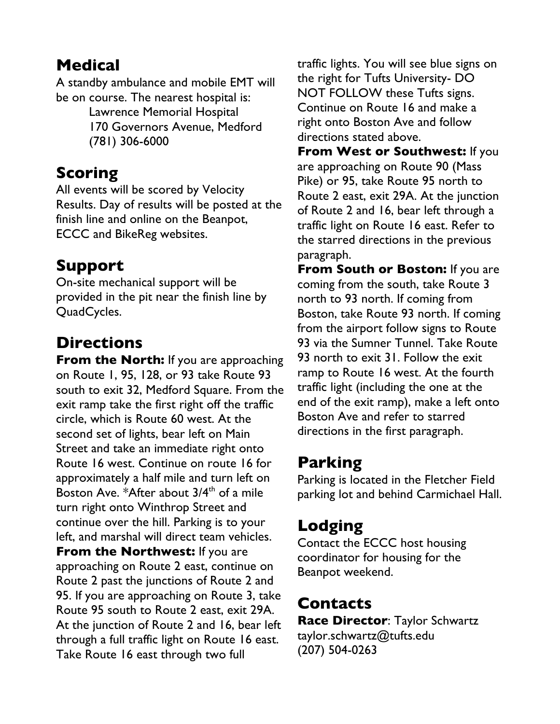# **Medical**

A standby ambulance and mobile EMT will be on course. The nearest hospital is:

> Lawrence Memorial Hospital 170 Governors Avenue, Medford (781) 306-6000

# **Scoring**

All events will be scored by Velocity Results. Day of results will be posted at the finish line and online on the Beanpot, ECCC and BikeReg websites.

# **Support**

On-site mechanical support will be provided in the pit near the finish line by QuadCycles.

# **Directions**

**From the North:** If you are approaching on Route 1, 95, 128, or 93 take Route 93 south to exit 32, Medford Square. From the exit ramp take the first right off the traffic circle, which is Route 60 west. At the second set of lights, bear left on Main Street and take an immediate right onto Route 16 west. Continue on route 16 for approximately a half mile and turn left on Boston Ave. \* After about  $3/4<sup>th</sup>$  of a mile turn right onto Winthrop Street and continue over the hill. Parking is to your left, and marshal will direct team vehicles. **From the Northwest:** If you are approaching on Route 2 east, continue on Route 2 past the junctions of Route 2 and 95. If you are approaching on Route 3, take Route 95 south to Route 2 east, exit 29A. At the junction of Route 2 and 16, bear left through a full traffic light on Route 16 east. Take Route 16 east through two full

traffic lights. You will see blue signs on the right for Tufts University- DO NOT FOLLOW these Tufts signs. Continue on Route 16 and make a right onto Boston Ave and follow directions stated above.

**From West or Southwest:** If you are approaching on Route 90 (Mass Pike) or 95, take Route 95 north to Route 2 east, exit 29A. At the junction of Route 2 and 16, bear left through a traffic light on Route 16 east. Refer to the starred directions in the previous paragraph.

**From South or Boston:** If you are coming from the south, take Route 3 north to 93 north. If coming from Boston, take Route 93 north. If coming from the airport follow signs to Route 93 via the Sumner Tunnel. Take Route 93 north to exit 31. Follow the exit ramp to Route 16 west. At the fourth traffic light (including the one at the end of the exit ramp), make a left onto Boston Ave and refer to starred directions in the first paragraph.

# **Parking**

Parking is located in the Fletcher Field parking lot and behind Carmichael Hall.

# **Lodging**

Contact the ECCC host housing coordinator for housing for the Beanpot weekend.

# **Contacts**

**Race Director**: Taylor Schwartz taylor.schwartz@tufts.edu (207) 504-0263